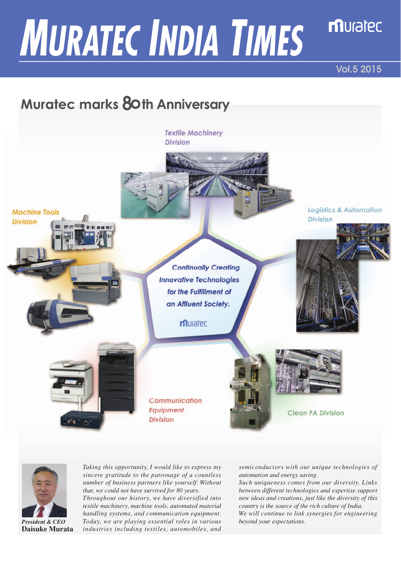# *MURATEC INDIA TIMES*

**Vol.5 2015**

**Logistics & Automation** 

**Division** 

muratec

# **Muratec marks 80th Anniversary**

**Textile Machinery Division** 

**Machine Tools** 

**Division** 

**Continually Creating Innovative Technologies** for the Fulfillment of an Affluent Society.

muratec

Communication **Equipment Division** 





**Clean FA Division** 



*President & CEO* **Daisuke Murata**

*Taking this opportunity, I would like to express my sincere gratitude to the patronage of a countless number of business partners like yourself. Without that, we could not have survived for 80 years.*

*Throughout our history, we have diversified into textile machinery, machine tools, automated material handling systems, and communication equipment. Today, we are playing essential roles in various industries including textiles, automobiles, and* 

*semiconductors with our unique technologies of automation and energy saving.*

*Such uniqueness comes from our diversity. Links between different technologies and expertise support new ideas and creations, just like the diversity of this country is the source of the rich culture of India. We will continue to link synergies for engineering beyond your expectations.*